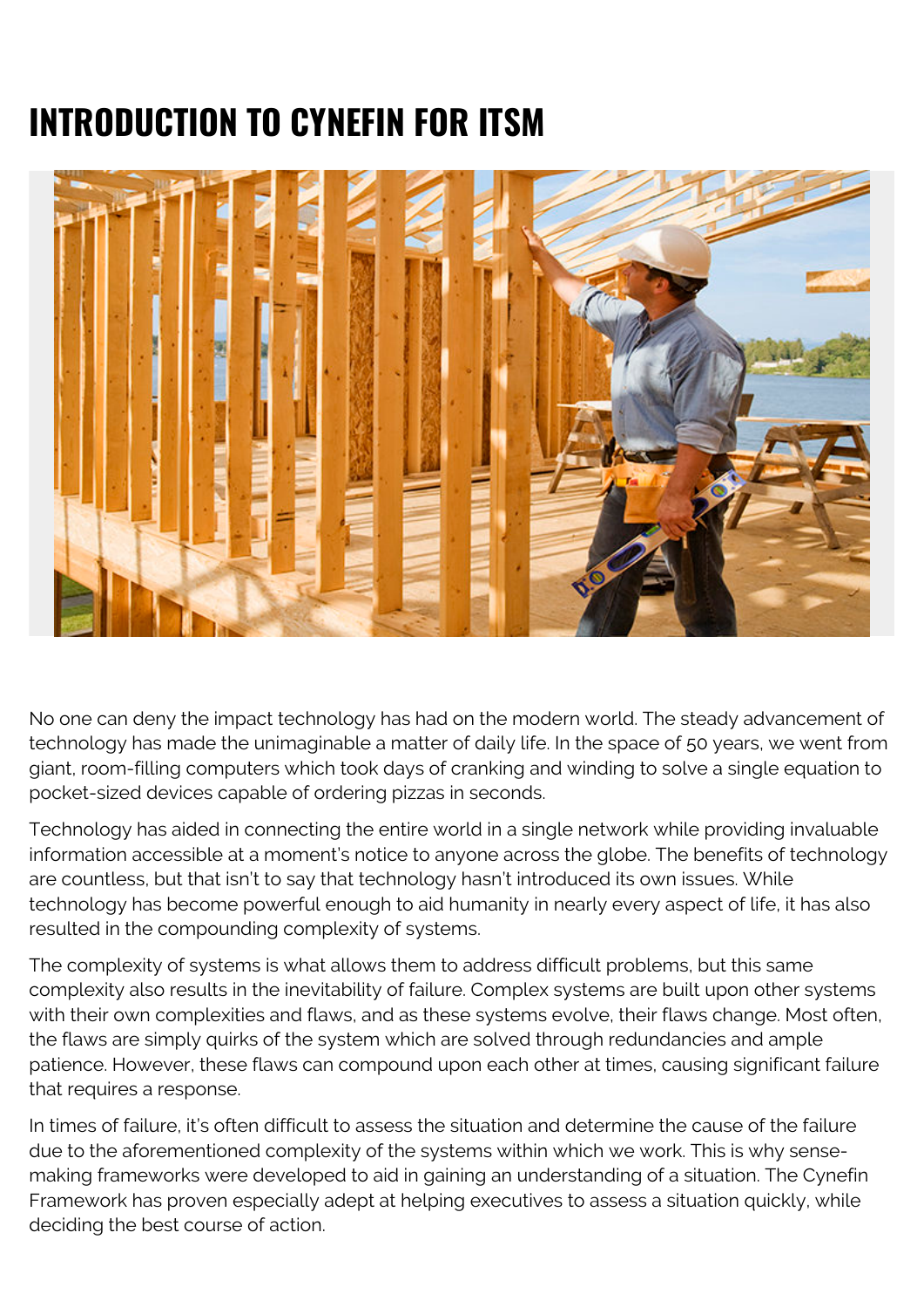# **INTRODUCTION TO CYNEFIN FOR ITSM**



No one can deny the impact technology has had on the modern world. The steady advancement of technology has made the unimaginable a matter of daily life. In the space of 50 years, we went from giant, room-filling computers which took days of cranking and winding to solve a single equation to pocket-sized devices capable of ordering pizzas in seconds.

Technology has aided in connecting the entire world in a single network while providing invaluable information accessible at a moment's notice to anyone across the globe. The benefits of technology are countless, but that isn't to say that technology hasn't introduced its own issues. While technology has become powerful enough to aid humanity in nearly every aspect of life, it has also resulted in the compounding complexity of systems.

The complexity of systems is what allows them to address difficult problems, but this same complexity also results in the inevitability of failure. Complex systems are built upon other systems with their own complexities and flaws, and as these systems evolve, their flaws change. Most often, the flaws are simply quirks of the system which are solved through redundancies and ample patience. However, these flaws can compound upon each other at times, causing significant failure that requires a response.

In times of failure, it's often difficult to assess the situation and determine the cause of the failure due to the aforementioned complexity of the systems within which we work. This is why sensemaking frameworks were developed to aid in gaining an understanding of a situation. The Cynefin Framework has proven especially adept at helping executives to assess a situation quickly, while deciding the best course of action.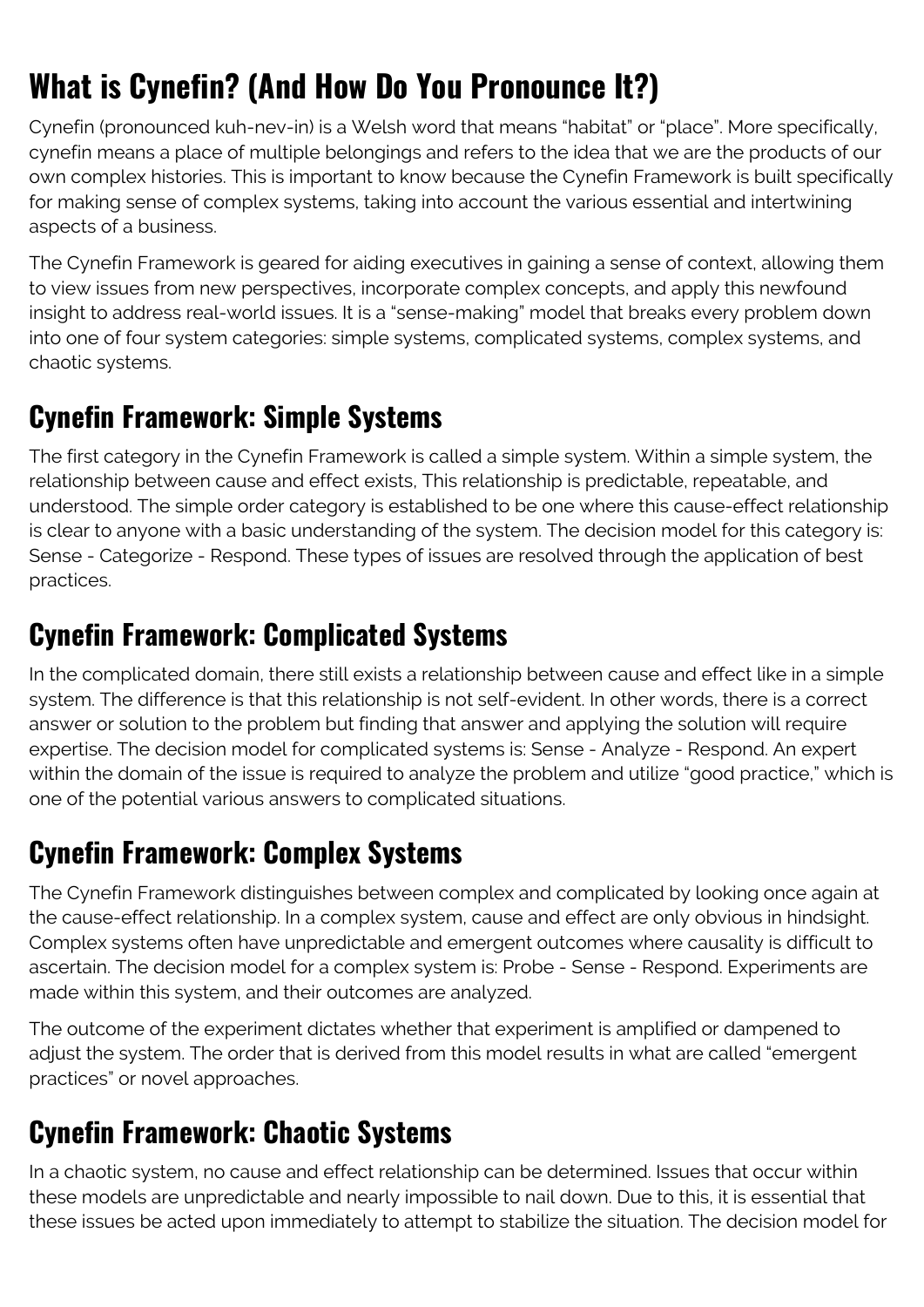## **What is Cynefin? (And How Do You Pronounce It?)**

Cynefin (pronounced kuh-nev-in) is a Welsh word that means "habitat" or "place". More specifically, cynefin means a place of multiple belongings and refers to the idea that we are the products of our own complex histories. This is important to know because the Cynefin Framework is built specifically for making sense of complex systems, taking into account the various essential and intertwining aspects of a business.

The Cynefin Framework is geared for aiding executives in gaining a sense of context, allowing them to view issues from new perspectives, incorporate complex concepts, and apply this newfound insight to address real-world issues. It is a "sense-making" model that breaks every problem down into one of four system categories: simple systems, complicated systems, complex systems, and chaotic systems.

#### **Cynefin Framework: Simple Systems**

The first category in the Cynefin Framework is called a simple system. Within a simple system, the relationship between cause and effect exists, This relationship is predictable, repeatable, and understood. The simple order category is established to be one where this cause-effect relationship is clear to anyone with a basic understanding of the system. The decision model for this category is: Sense - Categorize - Respond. These types of issues are resolved through the application of best practices.

#### **Cynefin Framework: Complicated Systems**

In the complicated domain, there still exists a relationship between cause and effect like in a simple system. The difference is that this relationship is not self-evident. In other words, there is a correct answer or solution to the problem but finding that answer and applying the solution will require expertise. The decision model for complicated systems is: Sense - Analyze - Respond. An expert within the domain of the issue is required to analyze the problem and utilize "good practice," which is one of the potential various answers to complicated situations.

#### **Cynefin Framework: Complex Systems**

The Cynefin Framework distinguishes between complex and complicated by looking once again at the cause-effect relationship. In a complex system, cause and effect are only obvious in hindsight. Complex systems often have unpredictable and emergent outcomes where causality is difficult to ascertain. The decision model for a complex system is: Probe - Sense - Respond. Experiments are made within this system, and their outcomes are analyzed.

The outcome of the experiment dictates whether that experiment is amplified or dampened to adjust the system. The order that is derived from this model results in what are called "emergent practices" or novel approaches.

### **Cynefin Framework: Chaotic Systems**

In a chaotic system, no cause and effect relationship can be determined. Issues that occur within these models are unpredictable and nearly impossible to nail down. Due to this, it is essential that these issues be acted upon immediately to attempt to stabilize the situation. The decision model for